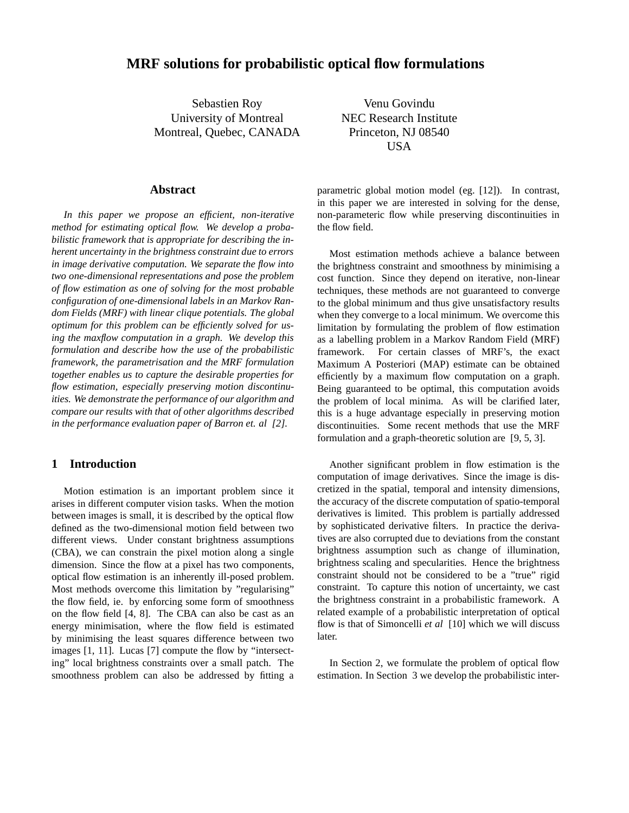# **MRF solutions for probabilistic optical flow formulations**

Sebastien Roy University of Montreal Montreal, Quebec, CANADA

Venu Govindu NEC Research Institute Princeton, NJ 08540 USA

#### **Abstract**

*In this paper we propose an efficient, non-iterative method for estimating optical flow. We develop a probabilistic framework that is appropriate for describing the inherent uncertainty in the brightness constraint due to errors in image derivative computation. We separate the flow into two one-dimensional representations and pose the problem of flow estimation as one of solving for the most probable configuration of one-dimensional labels in an Markov Random Fields (MRF) with linear clique potentials. The global optimum for this problem can be efficiently solved for using the maxflow computation in a graph. We develop this formulation and describe how the use of the probabilistic framework, the parametrisation and the MRF formulation together enables us to capture the desirable properties for flow estimation, especially preserving motion discontinuities. We demonstrate the performance of our algorithm and compare our results with that of other algorithms described in the performance evaluation paper of Barron et. al [2].*

## **1 Introduction**

Motion estimation is an important problem since it arises in different computer vision tasks. When the motion between images is small, it is described by the optical flow defined as the two-dimensional motion field between two different views. Under constant brightness assumptions (CBA), we can constrain the pixel motion along a single dimension. Since the flow at a pixel has two components, optical flow estimation is an inherently ill-posed problem. Most methods overcome this limitation by "regularising" the flow field, ie. by enforcing some form of smoothness on the flow field [4, 8]. The CBA can also be cast as an energy minimisation, where the flow field is estimated by minimising the least squares difference between two images [1, 11]. Lucas [7] compute the flow by "intersecting" local brightness constraints over a small patch. The smoothness problem can also be addressed by fitting a parametric global motion model (eg. [12]). In contrast, in this paper we are interested in solving for the dense, non-parameteric flow while preserving discontinuities in the flow field.

Most estimation methods achieve a balance between the brightness constraint and smoothness by minimising a cost function. Since they depend on iterative, non-linear techniques, these methods are not guaranteed to converge to the global minimum and thus give unsatisfactory results when they converge to a local minimum. We overcome this limitation by formulating the problem of flow estimation as a labelling problem in a Markov Random Field (MRF) framework. For certain classes of MRF's, the exact Maximum A Posteriori (MAP) estimate can be obtained efficiently by a maximum flow computation on a graph. Being guaranteed to be optimal, this computation avoids the problem of local minima. As will be clarified later, this is a huge advantage especially in preserving motion discontinuities. Some recent methods that use the MRF formulation and a graph-theoretic solution are [9, 5, 3].

Another significant problem in flow estimation is the computation of image derivatives. Since the image is discretized in the spatial, temporal and intensity dimensions, the accuracy of the discrete computation of spatio-temporal derivatives is limited. This problem is partially addressed by sophisticated derivative filters. In practice the derivatives are also corrupted due to deviations from the constant brightness assumption such as change of illumination, brightness scaling and specularities. Hence the brightness constraint should not be considered to be a "true" rigid constraint. To capture this notion of uncertainty, we cast the brightness constraint in a probabilistic framework. A related example of a probabilistic interpretation of optical flow is that of Simoncelli *et al* [10] which we will discuss later.

In Section 2, we formulate the problem of optical flow estimation. In Section 3 we develop the probabilistic inter-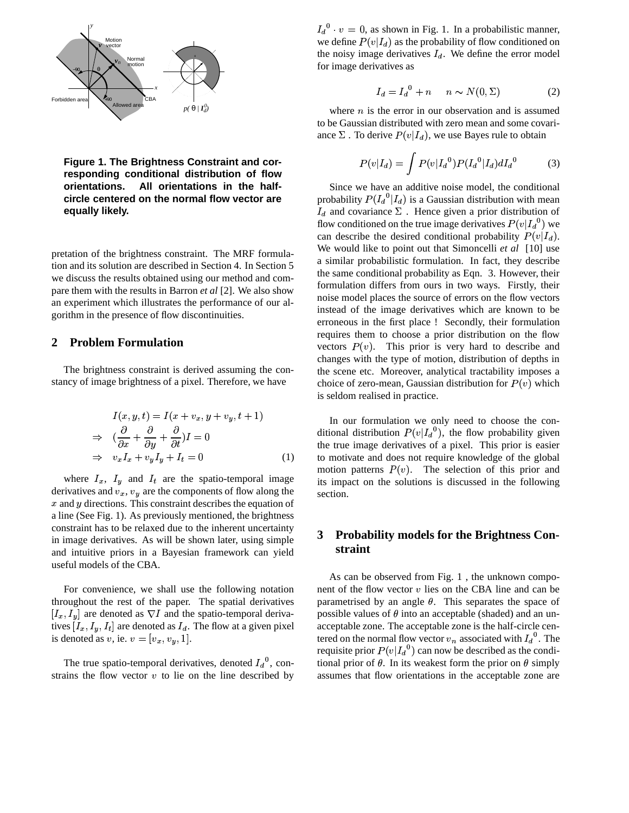

**Figure 1. The Brightness Constraint and corresponding conditional distribution of flow orientations. All orientations in the halfcircle centered on the normal flow vector are equally likely.**

pretation of the brightness constraint. The MRF formulation and its solution are described in Section 4. In Section 5 we discuss the results obtained using our method and compare them with the results in Barron *et al* [2]. We also show an experiment which illustrates the performance of our algorithm in the presence of flow discontinuities.

## **2 Problem Formulation**

The brightness constraint is derived assuming the constancy of image brightness of a pixel. Therefore, we have

$$
I(x, y, t) = I(x + v_x, y + v_y, t + 1)
$$
  
\n
$$
\Rightarrow \left(\frac{\partial}{\partial x} + \frac{\partial}{\partial y} + \frac{\partial}{\partial t}\right)I = 0
$$
  
\n
$$
\Rightarrow v_x I_x + v_y I_y + I_t = 0
$$
 (1)

where  $I_x$ ,  $I_y$  and  $I_t$  are the spatio-temporal image derivatives and  $v_x$ ,  $v_y$  are the components of flow along the  $x$  and  $y$  directions. This constraint describes the equation of a line (See Fig. 1). As previously mentioned, the brightness constraint has to be relaxed due to the inherent uncertainty in image derivatives. As will be shown later, using simple and intuitive priors in a Bayesian framework can yield useful models of the CBA.

For convenience, we shall use the following notation throughout the rest of the paper. The spatial derivatives  $[I_x, I_y]$  are denoted as  $\nabla I$  and the spatio-temporal derivatives  $[I_x, I_y, I_t]$  are denoted as  $I_d$ . The flow at a given pixel is denoted as v, ie.  $v = [v_x, v_y, 1]$ .

The true spatio-temporal derivatives, denoted  $I_d^0$ , constrains the flow vector  $v$  to lie on the line described by  $I_d^0 \cdot v = 0$ , as shown in Fig. 1. In a probabilistic manner, we define  $P(v|I_d)$  as the probability of flow conditioned on the noisy image derivatives  $I_d$ . We define the error model for image derivatives as

$$
I_d = I_d{}^0 + n \qquad n \sim N(0, \Sigma) \tag{2}
$$

where  $n$  is the error in our observation and is assumed to be Gaussian distributed with zero mean and some covariance  $\Sigma$  . To derive  $P(v|I_d)$ , we use Bayes rule to obtain

$$
P(v|I_d) = \int P(v|I_d^0) P(I_d^0|I_d) dI_d^0 \tag{3}
$$

Since we have an additive noise model, the conditional probability  $P(I_d^{\mathsf{U}}|I_d)$  is a Gaussian distribution with mean  $I_d$  and covariance  $\Sigma$ . Hence given a prior distribution of flow conditioned on the true image derivatives  $P(v|I_d^0)$  we can describe the desired conditional probability  $P(v|I_d)$ . We would like to point out that Simoncelli *et al* [10] use a similar probabilistic formulation. In fact, they describe the same conditional probability as Eqn. 3. However, their formulation differs from ours in two ways. Firstly, their noise model places the source of errors on the flow vectors instead of the image derivatives which are known to be erroneous in the first place ! Secondly, their formulation requires them to choose a prior distribution on the flow vectors  $P(v)$ . This prior is very hard to describe and changes with the type of motion, distribution of depths in the scene etc. Moreover, analytical tractability imposes a choice of zero-mean, Gaussian distribution for  $P(v)$  which is seldom realised in practice.

In our formulation we only need to choose the conditional distribution  $P(v|I_d^{\mathsf{U}})$ , the flow probability given the true image derivatives of a pixel. This prior is easier to motivate and does not require knowledge of the global motion patterns  $P(v)$ . The selection of this prior and its impact on the solutions is discussed in the following section.

# **3 Probability models for the Brightness Constraint**

As can be observed from Fig. 1 , the unknown component of the flow vector  $v$  lies on the CBA line and can be parametrised by an angle  $\theta$ . This separates the space of possible values of  $\theta$  into an acceptable (shaded) and an unacceptable zone. The acceptable zone is the half-circle centered on the normal flow vector  $v_n$  associated with  $I_d^0$ . The requisite prior  $P(v|I_d^0)$  can now be described as the conditional prior of  $\theta$ . In its weakest form the prior on  $\theta$  simply assumes that flow orientations in the acceptable zone are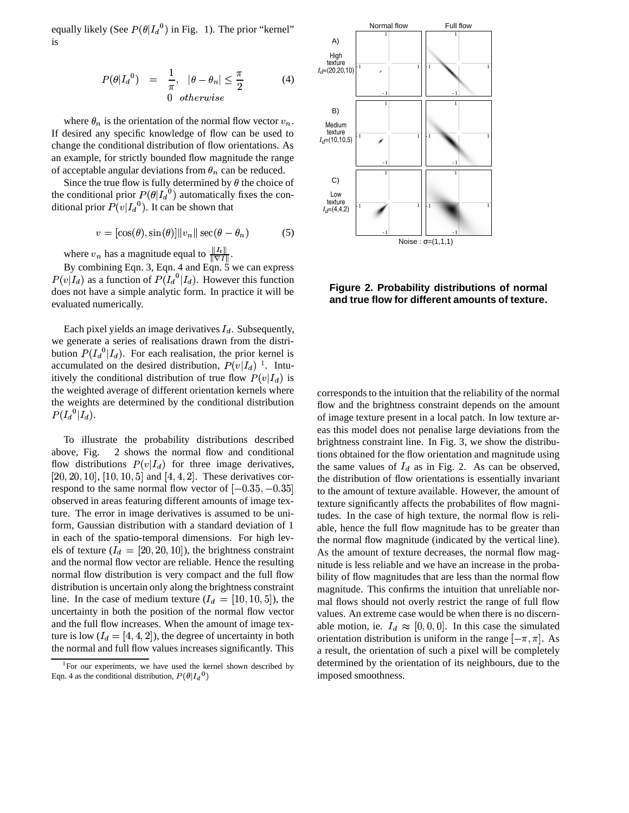equally likely (See  $P(\theta | I_d^0)$  in Fig. 1). The prior "kernel" is

$$
P(\theta | I_d{}^0) = \frac{1}{\pi}, \quad |\theta - \theta_n| \le \frac{\pi}{2}
$$
 (4)  
0 otherwise

where  $\theta_n$  is the orientation of the normal flow vector  $v_n$ . If desired any specific knowledge of flow can be used to change the conditional distribution of flow orientations. As an example, for strictly bounded flow magnitude the range of acceptable angular deviations from  $\theta_n$  can be reduced.

Since the true flow is fully determined by  $\theta$  the choice of the conditional prior  $P(\theta | I_d^{\theta})$  automatically fixes the conditional prior  $P(v|I_d^0)$ . It can be shown that

$$
v = [\cos(\theta), \sin(\theta)] ||v_n|| \sec(\theta - \theta_n)
$$
 (5)

where  $v_n$  has a magnitude equal to  $\frac{\|I_t\|}{\|\nabla I\|}$ .

By combining Eqn. 3, Eqn. 4 and Eqn.  $\overline{5}$  we can express  $P(v|I_d)$  as a function of  $P(I_d^{\text{U}}|I_d)$ . However this function does not have a simple analytic form. In practice it will be evaluated numerically.

Each pixel yields an image derivatives  $I_d$ . Subsequently, we generate a series of realisations drawn from the distribution  $P(I_d^{\mathcal{O}}|I_d)$ . For each realisation, the prior kernel is accumulated on the desired distribution,  $P(v|I_d)$ <sup>1</sup>. Intuitively the conditional distribution of true flow  $P(v|I_d)$  is the weighted average of different orientation kernels where the weights are determined by the conditional distribution  $P(I_d{}^0|I_d)$ .

To illustrate the probability distributions described above, Fig. 2 shows the normal flow and conditional flow distributions  $P(v|I_d)$  for three image derivatives,  $[20, 20, 10]$ ,  $[10, 10, 5]$  and  $[4, 4, 2]$ . These derivatives correspond to the same normal flow vector of  $[-0.35, -0.35]$ observed in areas featuring different amounts of image texture. The error in image derivatives is assumed to be uniform, Gaussian distribution with a standard deviation of 1 in each of the spatio-temporal dimensions. For high levels of texture  $(I_d = [20, 20, 10])$ , the brightness constraint and the normal flow vector are reliable. Hence the resulting normal flow distribution is very compact and the full flow distribution is uncertain only along the brightness constraint line. In the case of medium texture  $(I_d = [10, 10, 5])$ , the uncertainty in both the position of the normal flow vector and the full flow increases. When the amount of image texture is low  $(I_d = [4, 4, 2])$ , the degree of uncertainty in both the normal and full flow values increases significantly. This



**Figure 2. Probability distributions of normal and true flow for different amounts of texture.**

 to the amount of texture available. However, the amount of corresponds to the intuition that the reliability of the normal flow and the brightness constraint depends on the amount of image texture present in a local patch. In low texture areas this model does not penalise large deviations from the brightness constraint line. In Fig. 3, we show the distributions obtained for the flow orientation and magnitude using the same values of  $I_d$  as in Fig. 2. As can be observed, the distribution of flow orientations is essentially invariant texture significantly affects the probabilites of flow magnitudes. In the case of high texture, the normal flow is reliable, hence the full flow magnitude has to be greater than the normal flow magnitude (indicated by the vertical line). As the amount of texture decreases, the normal flow magnitude is less reliable and we have an increase in the probability of flow magnitudes that are less than the normal flow magnitude. This confirms the intuition that unreliable normal flows should not overly restrict the range of full flow values. An extreme case would be when there is no discernable motion, ie.  $I_d \approx [0, 0, 0]$ . In this case the simulated orientation distribution is uniform in the range  $[-\pi, \pi]$ . As a result, the orientation of such a pixel will be completely determined by the orientation of its neighbours, due to the imposed smoothness.

 $1$ For our experiments, we have used the kernel shown described by Eqn. 4 as the conditional distribution,  $P(\theta | I_d^{\,0})$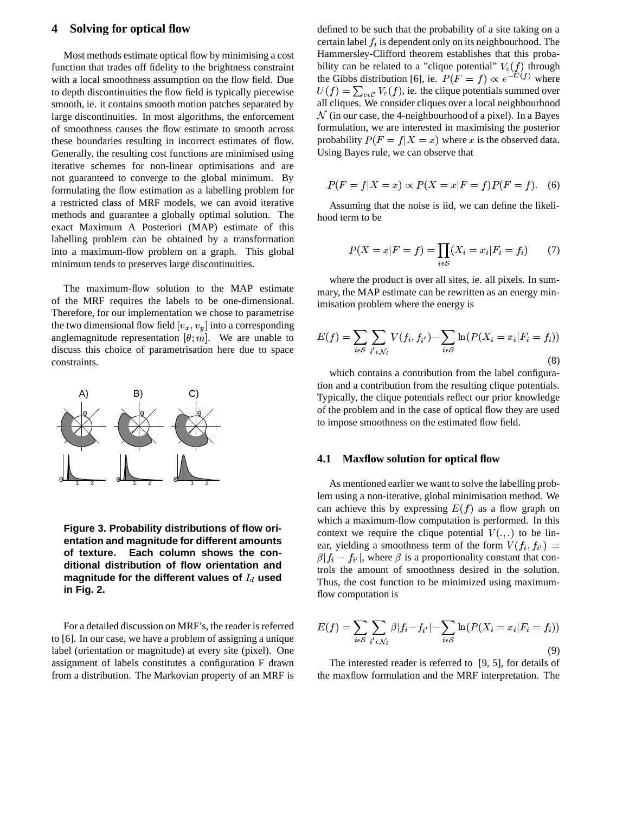### **4 Solving for optical flow**

Most methods estimate optical flow by minimising a cost function that trades off fidelity to the brightness constraint with a local smoothness assumption on the flow field. Due to depth discontinuities the flow field is typically piecewise smooth, ie. it contains smooth motion patches separated by large discontinuities. In most algorithms, the enforcement of smoothness causes the flow estimate to smooth across these boundaries resulting in incorrect estimates of flow. Generally, the resulting cost functions are minimised using iterative schemes for non-linear optimisations and are not guaranteed to converge to the global minimum. By formulating the flow estimation as a labelling problem for a restricted class of MRF models, we can avoid iterative methods and guarantee a globally optimal solution. The exact Maximum A Posteriori (MAP) estimate of this labelling problem can be obtained by a transformation into a maximum-flow problem on a graph. This global minimum tends to preserves large discontinuities.

The maximum-flow solution to the MAP estimate of the MRF requires the labels to be one-dimensional. Therefore, for our implementation we chose to parametrise the two dimensional flow field  $[v_x, v_y]$  into a corresponding anglemagnitude representation  $[\theta; m]$ . We are unable to discuss this choice of parametrisation here due to space constraints.



**Figure 3. Probability distributions of flow orientation and magnitude for different amounts of texture. Each column shows the conditional distribution of flow orientation and** magnitude for the different values of  $I_d$  used **in Fig. 2.**

For a detailed discussion on MRF's, the reader is referred to [6]. In our case, we have a problem of assigning a unique label (orientation or magnitude) at every site (pixel). One assignment of labels constitutes a configuration F drawn from a distribution. The Markovian property of an MRF is

defined to be such that the probability of a site taking on a certain label  $f_i$  is dependent only on its neighbourhood. The Hammersley-Clifford theorem establishes that this probability can be related to a "clique potential"  $V_c(f)$  through the Gibbs distribution [6], ie.  $P(F = f) \propto e^{-U(f)}$  where  $U(f) = \sum_{c \in \mathcal{C}} V_c(f)$ , ie. the clique potentials summed over  $\mathcal N$  (in our case, the 4-neighbourhood of a pixel). In a Bayes all cliques. We consider cliques over a local neighbourhood formulation, we are interested in maximising the posterior probability  $P(F = f | X = x)$  where x is the observed data. Using Bayes rule, we can observe that

$$
P(F = f|X = x) \propto P(X = x|F = f)P(F = f).
$$
 (6)

Assuming that the noise is iid, we can define the likelihood term to be

$$
P(X = x|F = f) = \prod_{i \in S} (X_i = x_i|F_i = f_i) \tag{7}
$$

where the product is over all sites, ie. all pixels. In summary, the MAP estimate can be rewritten as an energy minimisation problem where the energy is

$$
E(f) = \sum_{i \in S} \sum_{i' \in \mathcal{N}_i} V(f_i, f_{i'}) - \sum_{i \in S} \ln(P(X_i = x_i | F_i = f_i))
$$
\n(8)

which contains a contribution from the label configuration and a contribution from the resulting clique potentials. Typically, the clique potentials reflect our prior knowledge of the problem and in the case of optical flow they are used to impose smoothness on the estimated flow field.

#### **4.1 Maxflow solution for optical flow**

As mentioned earlier we want to solve the labelling problem using a non-iterative, global minimisation method. We can achieve this by expressing  $E(f)$  as a flow graph on which a maximum-flow computation is performed. In this context we require the clique potential  $V(.,.)$  to be linear, yielding a smoothness term of the form  $V(f_i, f_{i'}) =$  $\beta|f_i-f_{i'}|$ , w , where  $\beta$  is a proportionality constant that controls the amount of smoothness desired in the solution. Thus, the cost function to be minimized using maximumflow computation is

$$
E(f) = \sum_{i \in S} \sum_{i' \in \mathcal{N}_i} \beta |f_i - f_{i'}| - \sum_{i \in S} \ln(P(X_i = x_i | F_i = f_i))
$$
\n(9)

The interested reader is referred to [9, 5], for details of the maxflow formulation and the MRF interpretation. The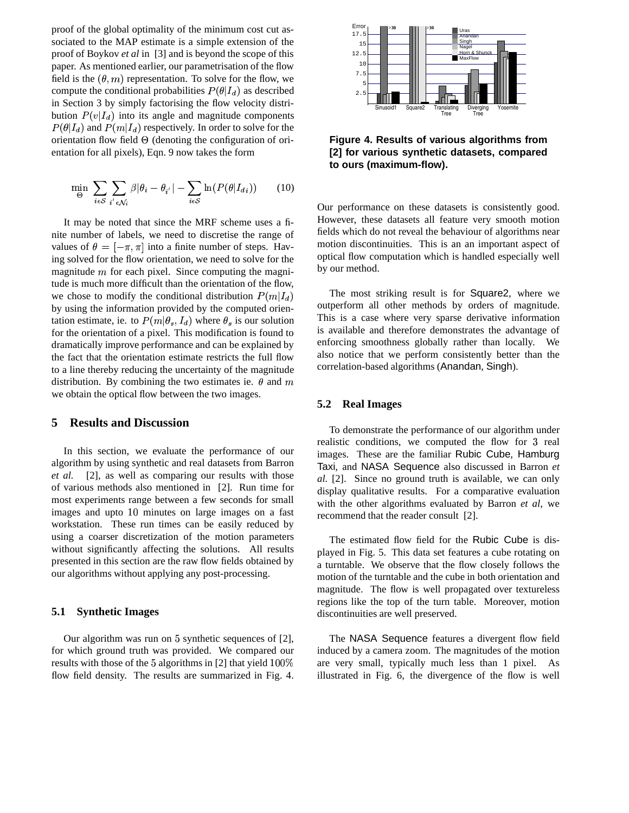proof of the global optimality of the minimum cost cut associated to the MAP estimate is a simple extension of the proof of Boykov *et al* in [3] and is beyond the scope of this paper. As mentioned earlier, our parametrisation of the flow field is the  $(\theta, m)$  representation. To solve for the flow, we compute the conditional probabilities  $P(\theta | I_d)$  as described in Section 3 by simply factorising the flow velocity distribution  $P(v|I_d)$  into its angle and magnitude components  $P(\theta | I_d)$  and  $P(m | I_d)$  respectively. In order to solve for the orientation flow field  $\Theta$  (denoting the configuration of orientation for all pixels), Eqn. 9 now takes the form

$$
\min_{\Theta} \sum_{i \in \mathcal{S}} \sum_{i' \in \mathcal{N}_i} \beta |\theta_i - \theta_{i'}| - \sum_{i \in \mathcal{S}} \ln(P(\theta | I_{di})) \qquad (10)
$$

It may be noted that since the MRF scheme uses a finite number of labels, we need to discretise the range of values of  $\theta = [-\pi, \pi]$  into a finite number of steps. Having solved for the flow orientation, we need to solve for the magnitude  $m$  for each pixel. Since computing the magnitude is much more difficult than the orientation of the flow, we chose to modify the conditional distribution  $P(m|I_d)$ by using the information provided by the computed orientation estimate, ie. to  $P(m|\theta_s, I_d)$  where  $\theta_s$  is our solution for the orientation of a pixel. This modification is found to dramatically improve performance and can be explained by the fact that the orientation estimate restricts the full flow to a line thereby reducing the uncertainty of the magnitude distribution. By combining the two estimates ie.  $\theta$  and  $m$ we obtain the optical flow between the two images.

## **5 Results and Discussion**

In this section, we evaluate the performance of our algorithm by using synthetic and real datasets from Barron *et al.* [2], as well as comparing our results with those of various methods also mentioned in [2]. Run time for most experiments range between a few seconds for small images and upto 10 minutes on large images on a fast workstation. These run times can be easily reduced by using a coarser discretization of the motion parameters without significantly affecting the solutions. All results presented in this section are the raw flow fields obtained by our algorithms without applying any post-processing.

#### **5.1 Synthetic Images**

Our algorithm was run on 5 synthetic sequences of [2], for which ground truth was provided. We compared our results with those of the 5 algorithms in [2] that yield  $100\%$  are very flow field density. The results are summarized in Fig. 4.



**Figure 4. Results of various algorithms from [2] for various synthetic datasets, compared to ours (maximum-flow).**

Our performance on these datasets is consistently good. However, these datasets all feature very smooth motion fields which do not reveal the behaviour of algorithms near motion discontinuities. This is an an important aspect of optical flow computation which is handled especially well by our method.

The most striking result is for Square2, where we outperform all other methods by orders of magnitude. This is a case where very sparse derivative information is available and therefore demonstrates the advantage of enforcing smoothness globally rather than locally. We also notice that we perform consistently better than the correlation-based algorithms (Anandan, Singh).

#### **5.2 Real Images**

To demonstrate the performance of our algorithm under realistic conditions, we computed the flow for 3 real images. These are the familiar Rubic Cube, Hamburg Taxi, and NASA Sequence also discussed in Barron *et al.* [2]. Since no ground truth is available, we can only display qualitative results. For a comparative evaluation with the other algorithms evaluated by Barron *et al*, we recommend that the reader consult [2].

The estimated flow field for the Rubic Cube is displayed in Fig. 5. This data set features a cube rotating on a turntable. We observe that the flow closely follows the motion of the turntable and the cube in both orientation and magnitude. The flow is well propagated over textureless regions like the top of the turn table. Moreover, motion discontinuities are well preserved.

The NASA Sequence features a divergent flow field induced by a camera zoom. The magnitudes of the motion are very small, typically much less than 1 pixel. As illustrated in Fig. 6, the divergence of the flow is well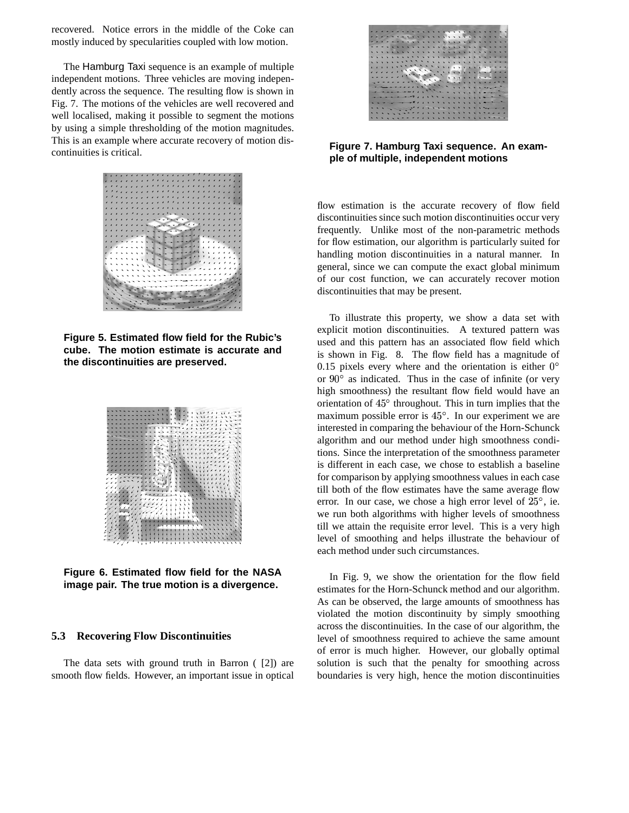recovered. Notice errors in the middle of the Coke can mostly induced by specularities coupled with low motion.

The Hamburg Taxi sequence is an example of multiple independent motions. Three vehicles are moving independently across the sequence. The resulting flow is shown in Fig. 7. The motions of the vehicles are well recovered and well localised, making it possible to segment the motions by using a simple thresholding of the motion magnitudes. This is an example where accurate recovery of motion discontinuities is critical.



**Figure 5. Estimated flow field for the Rubic's cube. The motion estimate is accurate and the discontinuities are preserved.**



**Figure 6. Estimated flow field for the NASA image pair. The true motion is a divergence.**

### **5.3 Recovering Flow Discontinuities**

The data sets with ground truth in Barron ( [2]) are smooth flow fields. However, an important issue in optical



**Figure 7. Hamburg Taxi sequence. An example of multiple, independent motions**

flow estimation is the accurate recovery of flow field discontinuities since such motion discontinuities occur very frequently. Unlike most of the non-parametric methods for flow estimation, our algorithm is particularly suited for handling motion discontinuities in a natural manner. In general, since we can compute the exact global minimum of our cost function, we can accurately recover motion discontinuities that may be present.

To illustrate this property, we show a data set with explicit motion discontinuities. A textured pattern was used and this pattern has an associated flow field which is shown in Fig. 8. The flow field has a magnitude of 0.15 pixels every where and the orientation is either  $0^{\circ}$ or  $90^\circ$  as indicated. Thus in the case of infinite (or very high smoothness) the resultant flow field would have an orientation of  $45^\circ$  throughout. This in turn implies that the maximum possible error is  $45^\circ$ . In our experiment we are interested in comparing the behaviour of the Horn-Schunck algorithm and our method under high smoothness conditions. Since the interpretation of the smoothness parameter is different in each case, we chose to establish a baseline for comparison by applying smoothness values in each case till both of the flow estimates have the same average flow error. In our case, we chose a high error level of  $25^{\circ}$ , ie. we run both algorithms with higher levels of smoothness till we attain the requisite error level. This is a very high level of smoothing and helps illustrate the behaviour of each method under such circumstances.

In Fig. 9, we show the orientation for the flow field estimates for the Horn-Schunck method and our algorithm. As can be observed, the large amounts of smoothness has violated the motion discontinuity by simply smoothing across the discontinuities. In the case of our algorithm, the level of smoothness required to achieve the same amount of error is much higher. However, our globally optimal solution is such that the penalty for smoothing across boundaries is very high, hence the motion discontinuities